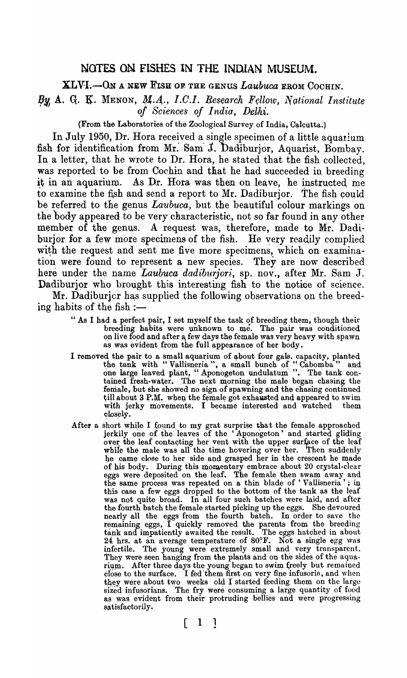## NOTES ON FISHES IN THE INUIAN MUSEUM.

XLVI.-ON A NEW FISH OF THE GENUS *Laubuca* FROM COCHIN.

By, A. G. K. MENON, M.A., *I.C.I. Research Fellow, National Institute oj Sciences of India" Delhi..* 

(From the Laboratories of the Zoological Survey of India, Calcutta.)

In July 1950, Dr. Hora received a single specimen of a little aquarium fish for identification from Mr. Sam J. Dadiburjor, Aquarist, Bombay. In a letter, that he wrote to Dr. Hora, he stated that the fish collected. was reported to be from Cochin and that he had succeeded in breeding it in an aquarium. As Dr. Hora was then on leave, he instructed me to examine the fish and send a report to Mr. Dadiburjor. The fish could be referred to the genus *Laubuca*, but the beautiful colour markings on the body appeared to be very characteristic, not so far found in any other member of the genus. A request was, therefore, made to Mr. Dadiburjor for a few more specimens of the fish. He very readily complied with the request and sent me five more specimens, which on examination were found to represent a new species. They are now described here under the name *Laubuca dadiburjori*, sp. nov., after Mr. Sam J. Dadiburjor who brought this interesting fish to the notice of science.

Mr. Dadiburjcr has supplied the following observations on the breeding habits of the fish :-

- " As I had a perfect pair, I set myself the task of breeding them, though their breeding habits were unknown to me. The pair was conditioned on live food and after  $a$  few days the female was very heavy with spawn as was evident from the full appearance of her body.
- I removed the pair to a small aquarium of about four gals. capacity, planted the tank with "Vallisneria", a small bunch of "Cabomba" and one large leaved plant, "Aponogeton undulatum". The tank contained fresh-water. The next morning the male began chasing the female, but she showed no sign of spawning and the chasing continued till about 3 P.M. when the female got exhausted and appeared to swim with jerky movements. I became interested and watched them closely.
- After a short while I found to my grat surprise that the female approached jerkily one of the leaves of the 'Aponogeton' and started gliding over the leaf contacting her vent with the upper surface of the leaf while the male was all the time hovering over her. Then suddenly he came close to her side and grasped her in the crescent he made of his body. During this momentary embrace about 20 crystal-clear eggs were deposited on the leaf. The female then Swam away and the same process was repeated on a thin blade of 'Vallisneria'; in this case a few eggs dropped to the bottom of the tank as the leaf was not quite broad. In all four such batches were laid, and after the fourth batch the female started picking up the eggs. She devoured nearly all the eggs from the fourth batch. In order to save the remaining eggs, I quickly removed the parents from the breeding tank and impatiently awaited the result. The eggs hatched in about 24. hrs. at an average temperature of 80~F. Not a single egg was infertile. The young were extremely small and very transparent. They were seen hanging from the plants and on the sides of the aquarium. After three days the young began to swim freely but remained close to the surface. I fed 'them first on very fine infusoria, and when they were about two weeks old I started feeding them on the large sized infusorians. The fry were consuming a large quantity of food as was, evident from their protruding bellies and were progressing satisfactorily.

 $\begin{bmatrix} 1 & 1 \end{bmatrix}$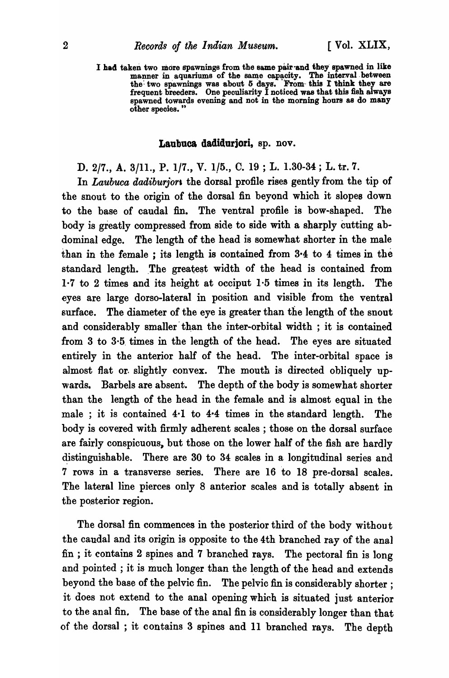I had taken two more spawnings from the same pair and they spawned in like manner in aquariums of the same capacity. The interval between the two spawnings was about 5 days. From this I think they are frequent breeders. One peculiarity  $\tilde{I}$  noticed was that this fish always spawned towards evening and not in the morning hours as do many other species.'

# Laubuca dadidurjori, sp. nov.

D. 2/7., A. 3/11., P. 1/7., V. 1/5., C. 19 ; L. 1.30-34; L. tr. 7.

In *Laubuca dadiburior* the dorsal profile rises gently from the tip of the snout to the origin of the dorsal fin beyond which it slopes down to the base of caudal fin. The ventral profile is bow-shaped. The body is greatly compressed from side to side with a sharply cutting abdominal edge. The length of the head is somewhat shorter in the male than in the female ; its length is contained from 3·4 to 4 times in the standard length. The greatest width of the head is contained from 1·7 to 2 times and its height at occiput 1·5 times in its length. The eyes are large dorso-Iateral in position and visible 'from the ventral surface. The diameter of the eye is greater than the length of the snout and considerably smaller than the inter-orbital width; it is contained from 3 to 3·5. times in the length of the head. The eyes are situated entirely in the anterior half of the head. The inter-orbital space is almost flat or slightly convex. The mouth is directed obliquely upwards. Barbels are absent. The depth of the body is somewhat shorter than the length of the head in the female and is almost equal in the male ; it is contained  $4·1$  to  $4·4$  times in the standard length. The body is covered with firmly adherent scales; those on the dorsal surface are fairly conspicuous, but those on the lower half of the fish are hardly distinguishable. There are 30 to 34 scales in a longitudinal series and 7 rows in a transverse series. There are 16 'to 18 pre-dorsal scales. The lateral line pierces only 8 anterior scales and is totally absent in the posterior region.

The dorsal fin commences in the posterior third of the body without the caudal and its origin is opposite to the 4th branched ray of the anal fin; it contains  $2$  spines and  $7$  branched rays. The pectoral fin is long and pointed ; it is much longer than the length of the head and extends beyond the base of the pelvic fin. The pelvic fin is considerably shorter; it does not extend to the anal opening which is situated just anterior to the anal fin. The base of the anal fin is considerably longer than that of the dorsal ; it contains 3 spines and 11 branched rays. The depth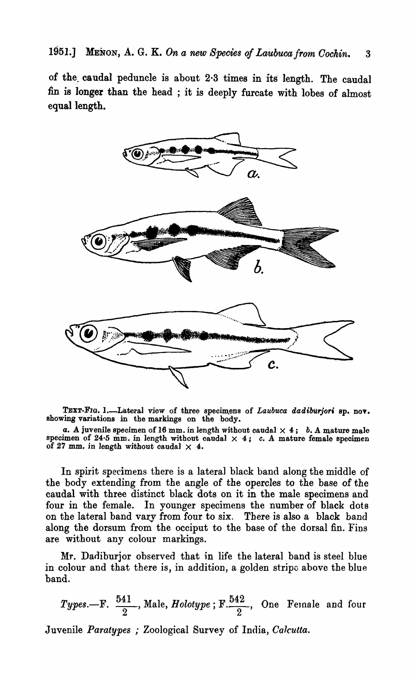## 1951.] Menon, A. G. K. On a new Species of Laubuca from Cochin. 3

of the caudal peduncle is about 2.3 times in its length. The caudal :fin is longer than the head; 'it is deeply furcate with lobes of almost equal length.



TEXT-FIG. 1.--Lateral view of three specimens of *Laubuca dadiburjori sp. nov.* showing variations in the markings on the body.

 $a. A$  juvenile specimen of 16 mm. in length without caudal  $\times 4$ ; *b.* A mature male specimen of  $24.5$  mm. in length without caudal  $\times$  4;  $c$ . A mature female specimen of 27 mm. in length without caudal  $\times$  4.

In spirit specimens there is a lateral black band along the middle of the body extending from the angle of the opercles to the base of the caudal with three distinct black dots on it in the male specimens and four in the female. In younger specimens the number of black dots on the lateral band vary from four to six. There is also a black band along the dorsum from the occiput to the base of the dorsal fin. Fins are without any colour markings.

Mr. Dadiburjor observed that in life the lateral band is steel blue in colour and that there is, in addition, a golden stripo above the blue band.

*Types.*—F. 
$$
\frac{541}{2}
$$
, Male, *Holotype*; F.  $\frac{542}{2}$ , One Fennale and four

Juvenile *Paratypes* ; Zoological Survey of India, *Calcutta.*